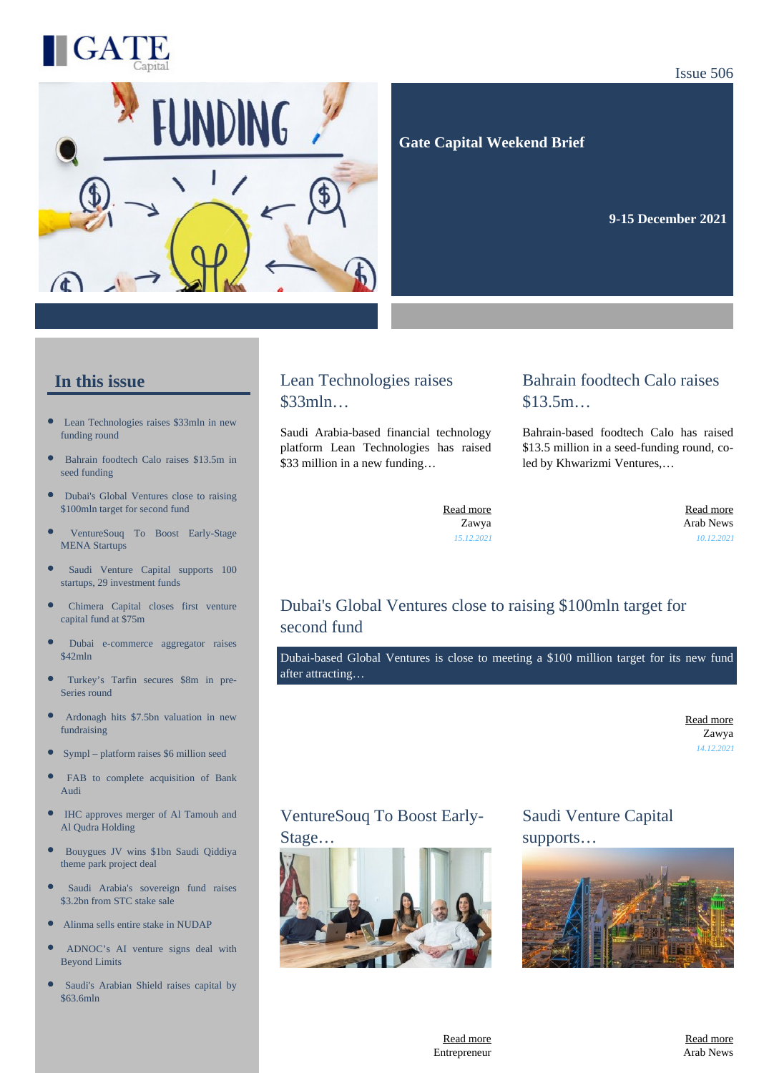



 **Gate Capital Weekend Brief**

**9-15 December 2021** 

#### **In this issue**

- $\bullet$ [Lean Technologies raises \\$33mln in new](https://gatecapital.net/back_office/newsletters/tracking/5496/647) [funding round](https://gatecapital.net/back_office/newsletters/tracking/5496/647)
- [Bahrain foodtech Calo raises \\$13.5m in](https://gatecapital.net/back_office/newsletters/tracking/5498/647) [seed funding](https://gatecapital.net/back_office/newsletters/tracking/5498/647)
- $\bullet$ [Dubai's Global Ventures close to raising](https://gatecapital.net/back_office/newsletters/tracking/5490/647) [\\$100mln target for second fund](https://gatecapital.net/back_office/newsletters/tracking/5490/647)
- œ [VentureSouq To Boost Early-Stage](https://gatecapital.net/back_office/newsletters/tracking/5499/647) [MENA Startups](https://gatecapital.net/back_office/newsletters/tracking/5499/647)
- [Saudi Venture Capital supports 100](https://gatecapital.net/back_office/newsletters/tracking/5504/647) [startups, 29 investment funds](https://gatecapital.net/back_office/newsletters/tracking/5504/647)
- [Chimera Capital closes first venture](https://gatecapital.net/back_office/newsletters/tracking/5493/647) [capital fund at \\$75m](https://gatecapital.net/back_office/newsletters/tracking/5493/647)
- [Dubai e-commerce aggregator raises](https://gatecapital.net/back_office/newsletters/tracking/5497/647)  $$42mln$
- $\bullet$ [Turkey's Tarfin secures \\$8m in pre-](https://gatecapital.net/back_office/newsletters/tracking/5487/647)[Series round](https://gatecapital.net/back_office/newsletters/tracking/5487/647)
- [Ardonagh hits \\$7.5bn valuation in new](https://gatecapital.net/back_office/newsletters/tracking/5502/647) [fundraising](https://gatecapital.net/back_office/newsletters/tracking/5502/647)
- $\bullet$ [Sympl – platform raises \\$6 million seed](https://gatecapital.net/back_office/newsletters/tracking/5485/647)
- [FAB to complete acquisition of Bank](https://gatecapital.net/back_office/newsletters/tracking/5503/647) [Audi](https://gatecapital.net/back_office/newsletters/tracking/5503/647)
- $\bullet$ [IHC approves merger of Al Tamouh and](https://gatecapital.net/back_office/newsletters/tracking/5484/647) [Al Qudra Holding](https://gatecapital.net/back_office/newsletters/tracking/5484/647)
- $\bullet$ [Bouygues JV wins \\$1bn Saudi Qiddiya](https://gatecapital.net/back_office/newsletters/tracking/5483/647) [theme park project deal](https://gatecapital.net/back_office/newsletters/tracking/5483/647)
- [Saudi Arabia's sovereign fund raises](https://gatecapital.net/back_office/newsletters/tracking/5492/647) [\\$3.2bn from STC stake sale](https://gatecapital.net/back_office/newsletters/tracking/5492/647)
- $\bullet$ [Alinma sells entire stake in NUDAP](https://gatecapital.net/back_office/newsletters/tracking/5500/647)
- × [ADNOC's AI venture signs deal with](https://gatecapital.net/back_office/newsletters/tracking/5501/647) [Beyond Limits](https://gatecapital.net/back_office/newsletters/tracking/5501/647)
- [Saudi's Arabian Shield raises capital by](https://gatecapital.net/back_office/newsletters/tracking/5505/647) [\\$63.6mln](https://gatecapital.net/back_office/newsletters/tracking/5505/647)

#### Lean Technologies raises \$33mln…

Saudi Arabia-based financial technology platform Lean Technologies has raised \$33 million in a new funding...

#### Bahrain foodtech Calo raises \$13.5m…

Bahrain-based foodtech Calo has raised \$13.5 million in a seed-funding round, coled by Khwarizmi Ventures,…

[Read more](https://gatecapital.net/back_office/newsletters/tracking/5496/647) Zawya *15.12.2021*

[Read more](https://gatecapital.net/back_office/newsletters/tracking/5498/647) Arab News *10.12.2021*

# Dubai's Global Ventures close to raising \$100mln target for second fund

Dubai-based Global Ventures is close to meeting a \$100 million target for its new fund after attracting…

> [Read more](https://gatecapital.net/back_office/newsletters/tracking/5490/647) Zawya *14.12.2021*

## VentureSouq To Boost Early-Stage…



Saudi Venture Capital supports…



[Read more](https://gatecapital.net/back_office/newsletters/tracking/5499/647) Entrepreneur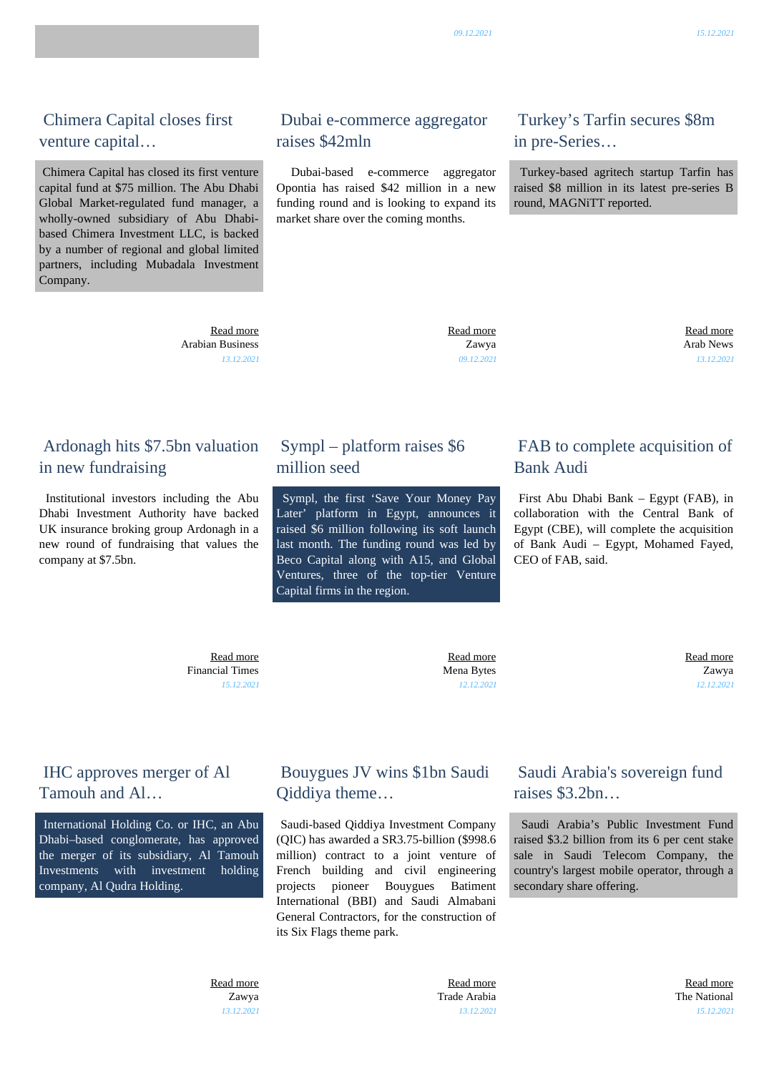## Chimera Capital closes first venture capital…

 Chimera Capital has closed its first venture capital fund at \$75 million. The Abu Dhabi Global Market-regulated fund manager, a wholly-owned subsidiary of Abu Dhabibased Chimera Investment LLC, is backed by a number of regional and global limited partners, including Mubadala Investment Company.

> [Read more](https://gatecapital.net/back_office/newsletters/tracking/5493/647) Arabian Business *13.12.2021*

## Ardonagh hits \$7.5bn valuation in new fundraising

 Institutional investors including the Abu Dhabi Investment Authority have backed UK insurance broking group Ardonagh in a new round of fundraising that values the company at \$7.5bn.

# Dubai e-commerce aggregator raises \$42mln

 Dubai-based e-commerce aggregator Opontia has raised \$42 million in a new funding round and is looking to expand its market share over the coming months.

## Turkey's Tarfin secures \$8m in pre-Series…

 Turkey-based agritech startup Tarfin has raised \$8 million in its latest pre-series B round, MAGNiTT reported.

 [Read more](https://gatecapital.net/back_office/newsletters/tracking/5497/647) Zawya *09.12.2021*

 [Read more](https://gatecapital.net/back_office/newsletters/tracking/5487/647) Arab News *13.12.2021*

#### Sympl – platform raises \$6 million seed

 Sympl, the first 'Save Your Money Pay Later' platform in Egypt, announces it raised \$6 million following its soft launch last month. The funding round was led by Beco Capital along with A15, and Global Ventures, three of the top-tier Venture Capital firms in the region.

#### FAB to complete acquisition of Bank Audi

 First Abu Dhabi Bank – Egypt (FAB), in collaboration with the Central Bank of Egypt (CBE), will complete the acquisition of Bank Audi – Egypt, Mohamed Fayed, CEO of FAB, said.

 [Read more](https://gatecapital.net/back_office/newsletters/tracking/5502/647) Financial Times *15.12.2021*

 [Read more](https://gatecapital.net/back_office/newsletters/tracking/5485/647) Mena Bytes *12.12.2021*

 [Read more](https://gatecapital.net/back_office/newsletters/tracking/5503/647) Zawya *12.12.2021*

## IHC approves merger of Al Tamouh and Al…

 International Holding Co. or IHC, an Abu Dhabi–based conglomerate, has approved the merger of its subsidiary, Al Tamouh Investments with investment holding company, Al Qudra Holding.

## Bouygues JV wins \$1bn Saudi Qiddiya theme…

 Saudi-based Qiddiya Investment Company (QIC) has awarded a SR3.75-billion (\$998.6 million) contract to a joint venture of French building and civil engineering projects pioneer Bouygues Batiment International (BBI) and Saudi Almabani General Contractors, for the construction of its Six Flags theme park.

#### Saudi Arabia's sovereign fund raises \$3.2bn…

 Saudi Arabia's Public Investment Fund raised \$3.2 billion from its 6 per cent stake sale in Saudi Telecom Company, the country's largest mobile operator, through a secondary share offering.

 [Read more](https://gatecapital.net/back_office/newsletters/tracking/5484/647) Zawya *13.12.2021*

 [Read more](https://gatecapital.net/back_office/newsletters/tracking/5483/647) Trade Arabia *13.12.2021*

 [Read more](https://gatecapital.net/back_office/newsletters/tracking/5492/647) The National *15.12.2021*